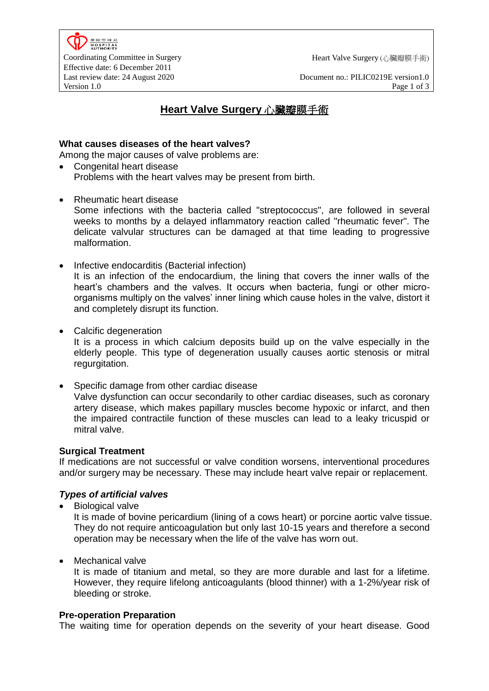

Last review date: 24 August 2020<br>
Version 1.0<br>
Page 1 of 3<br>
Page 1 of 3 Version 1.0 **Page 1 of 3** 

# **Heart Valve Surgery** 心臟瓣膜手術

### **What causes diseases of the heart valves?**

Among the major causes of valve problems are:

- Congenital heart disease Problems with the heart valves may be present from birth.
- Rheumatic heart disease Some infections with the bacteria called "streptococcus", are followed in several weeks to months by a delayed inflammatory reaction called "rheumatic fever". The delicate valvular structures can be damaged at that time leading to progressive malformation.
- Infective endocarditis (Bacterial infection) It is an infection of the endocardium, the lining that covers the inner walls of the heart's chambers and the valves. It occurs when bacteria, fungi or other microorganisms multiply on the valves' inner lining which cause holes in the valve, distort it and completely disrupt its function.
- Calcific degeneration

It is a process in which calcium deposits build up on the valve especially in the elderly people. This type of degeneration usually causes aortic stenosis or mitral regurgitation.

• Specific damage from other cardiac disease Valve dysfunction can occur secondarily to other cardiac diseases, such as coronary artery disease, which makes [papillary muscles](http://www.cvphysiology.com/Heart%20Disease/HD001.htm) become hypoxic or infarct, and then the impaired contractile function of these muscles can lead to a leaky tricuspid or mitral valve.

## **Surgical Treatment**

If medications are not successful or valve condition worsens, interventional procedures and/or surgery may be necessary. These may include [heart valve repair or replacement.](http://heart.health.ivillage.com/heartvalve/heartvalveprocedures.cfm)

## *Types of artificial valves*

• Biological valve

It is made of bovine pericardium (lining of a cows heart) or porcine aortic valve tissue. They do not require anticoagulation but only last 10-15 years and therefore a second operation may be necessary when the life of the valve has worn out.

• Mechanical valve

It is made of titanium and metal, so they are more durable and last for a lifetime. However, they require lifelong anticoagulants (blood thinner) with a 1-2%/year risk of bleeding or stroke.

## **Pre-operation Preparation**

The waiting time for operation depends on the severity of your heart disease. Good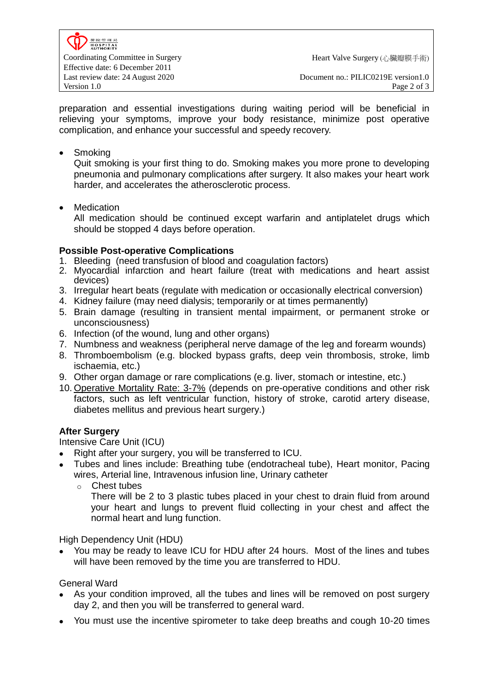preparation and essential investigations during waiting period will be beneficial in relieving your symptoms, improve your body resistance, minimize post operative complication, and enhance your successful and speedy recovery.

• Smoking

Quit smoking is your first thing to do. Smoking makes you more prone to developing pneumonia and pulmonary complications after surgery. It also makes your heart work harder, and accelerates the atherosclerotic process.

• Medication

All medication should be continued except warfarin and antiplatelet drugs which should be stopped 4 days before operation.

# **Possible Post-operative Complications**

- 1. Bleeding (need transfusion of blood and coagulation factors)
- 2. Myocardial infarction and heart failure (treat with medications and heart assist devices)
- 3. Irregular heart beats (regulate with medication or occasionally electrical conversion)
- 4. Kidney failure (may need dialysis; temporarily or at times permanently)
- 5. Brain damage (resulting in transient mental impairment, or permanent stroke or unconsciousness)
- 6. Infection (of the wound, lung and other organs)
- 7. Numbness and weakness (peripheral nerve damage of the leg and forearm wounds)
- 8. Thromboembolism (e.g. blocked bypass grafts, deep vein thrombosis, stroke, limb ischaemia, etc.)
- 9. Other organ damage or rare complications (e.g. liver, stomach or intestine, etc.)
- 10. Operative Mortality Rate: 3-7% (depends on pre-operative conditions and other risk factors, such as left ventricular function, history of stroke, carotid artery disease, diabetes mellitus and previous heart surgery.)

# **After Surgery**

Intensive Care Unit (ICU)

- Right after your surgery, you will be transferred to ICU.
- Tubes and lines include: Breathing tube (endotracheal tube), Heart monitor, Pacing wires, Arterial line, Intravenous infusion line, Urinary catheter
	- o Chest tubes

There will be 2 to 3 plastic tubes placed in your chest to drain fluid from around your heart and lungs to prevent fluid collecting in your chest and affect the normal heart and lung function.

High Dependency Unit (HDU)

 You may be ready to leave ICU for HDU after 24 hours. Most of the lines and tubes will have been removed by the time you are transferred to HDU.

General Ward

- As your condition improved, all the tubes and lines will be removed on post surgery day 2, and then you will be transferred to general ward.
- You must use the incentive spirometer to take deep breaths and cough 10-20 times